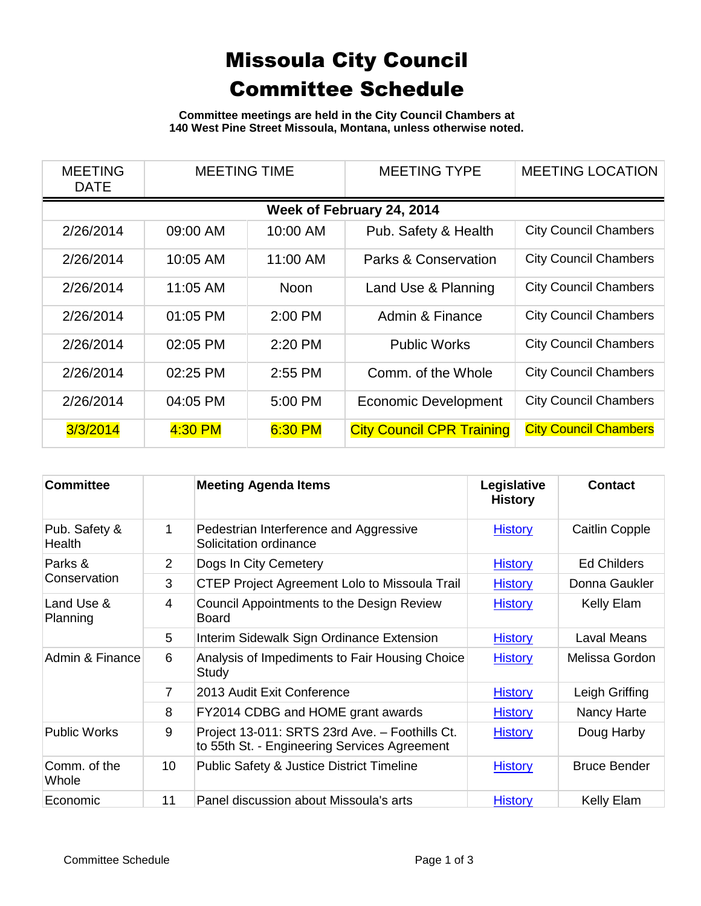## Missoula City Council Committee Schedule

**Committee meetings are held in the City Council Chambers at 140 West Pine Street Missoula, Montana, unless otherwise noted.**

| <b>MEETING</b><br><b>DATE</b> | <b>MEETING TIME</b> |             | <b>MEETING TYPE</b>              | <b>MEETING LOCATION</b>      |  |  |  |
|-------------------------------|---------------------|-------------|----------------------------------|------------------------------|--|--|--|
| Week of February 24, 2014     |                     |             |                                  |                              |  |  |  |
| 2/26/2014                     | 09:00 AM            | 10:00 AM    | Pub. Safety & Health             | <b>City Council Chambers</b> |  |  |  |
| 2/26/2014                     | 10:05 AM            | 11:00 AM    | Parks & Conservation             | <b>City Council Chambers</b> |  |  |  |
| 2/26/2014                     | 11:05 AM            | <b>Noon</b> | Land Use & Planning              | <b>City Council Chambers</b> |  |  |  |
| 2/26/2014                     | 01:05 PM            | $2:00$ PM   | Admin & Finance                  | <b>City Council Chambers</b> |  |  |  |
| 2/26/2014                     | 02:05 PM            | $2:20$ PM   | <b>Public Works</b>              | <b>City Council Chambers</b> |  |  |  |
| 2/26/2014                     | 02:25 PM            | $2:55$ PM   | Comm. of the Whole               | <b>City Council Chambers</b> |  |  |  |
| 2/26/2014                     | 04:05 PM            | 5:00 PM     | <b>Economic Development</b>      | <b>City Council Chambers</b> |  |  |  |
| 3/3/2014                      | 4:30 PM             | 6:30 PM     | <b>City Council CPR Training</b> | <b>City Council Chambers</b> |  |  |  |

| <b>Committee</b>               |                 | <b>Meeting Agenda Items</b>                                                                    | Legislative<br><b>History</b> | <b>Contact</b>        |
|--------------------------------|-----------------|------------------------------------------------------------------------------------------------|-------------------------------|-----------------------|
| Pub. Safety &<br><b>Health</b> | 1               | Pedestrian Interference and Aggressive<br>Solicitation ordinance                               | <b>History</b>                | <b>Caitlin Copple</b> |
| Parks &<br>Conservation        | 2               | Dogs In City Cemetery                                                                          | <b>History</b>                | <b>Ed Childers</b>    |
|                                | 3               | <b>CTEP Project Agreement Lolo to Missoula Trail</b>                                           | <b>History</b>                | Donna Gaukler         |
| Land Use &<br>Planning         | $\overline{4}$  | Council Appointments to the Design Review<br><b>Board</b>                                      | <b>History</b>                | Kelly Elam            |
|                                | 5               | Interim Sidewalk Sign Ordinance Extension                                                      | <b>History</b>                | Laval Means           |
| Admin & Finance                | 6               | Analysis of Impediments to Fair Housing Choice<br>Study                                        | <b>History</b>                | Melissa Gordon        |
|                                | $\overline{7}$  | 2013 Audit Exit Conference                                                                     | <b>History</b>                | Leigh Griffing        |
|                                | 8               | FY2014 CDBG and HOME grant awards                                                              | <b>History</b>                | Nancy Harte           |
| <b>Public Works</b>            | 9               | Project 13-011: SRTS 23rd Ave. - Foothills Ct.<br>to 55th St. - Engineering Services Agreement | <b>History</b>                | Doug Harby            |
| Comm. of the<br>Whole          | 10 <sup>°</sup> | <b>Public Safety &amp; Justice District Timeline</b>                                           | <b>History</b>                | <b>Bruce Bender</b>   |
| Economic                       | 11              | Panel discussion about Missoula's arts                                                         | <b>History</b>                | Kelly Elam            |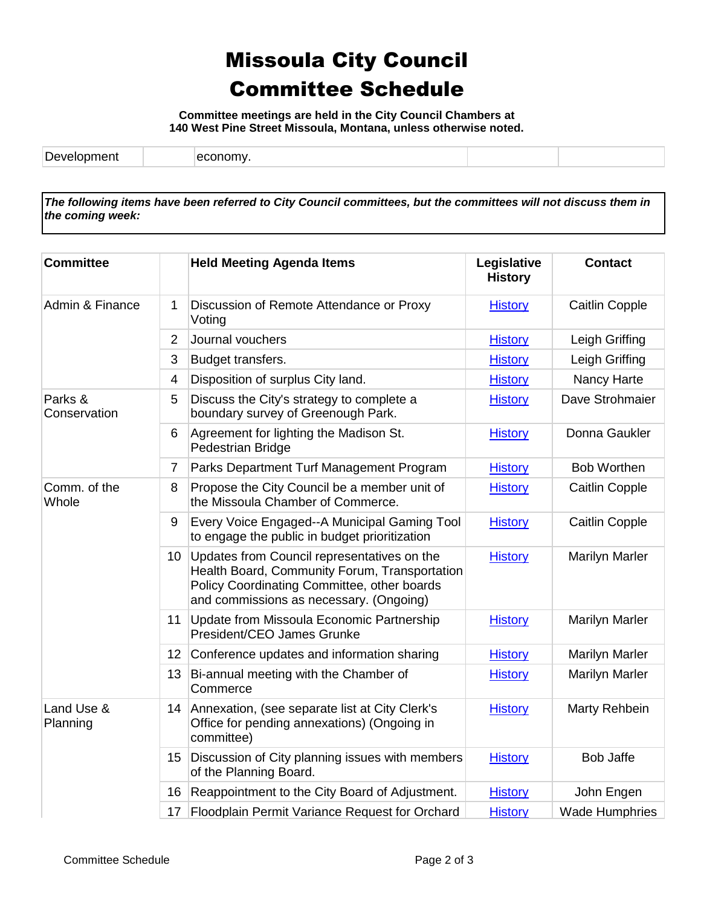## Missoula City Council Committee Schedule

**Committee meetings are held in the City Council Chambers at 140 West Pine Street Missoula, Montana, unless otherwise noted.**

*The following items have been referred to City Council committees, but the committees will not discuss them in the coming week:*

| <b>Committee</b>        |                 | <b>Held Meeting Agenda Items</b>                                                                                                                                                       | Legislative<br><b>History</b> | <b>Contact</b>        |
|-------------------------|-----------------|----------------------------------------------------------------------------------------------------------------------------------------------------------------------------------------|-------------------------------|-----------------------|
| Admin & Finance         | 1               | Discussion of Remote Attendance or Proxy<br>Voting                                                                                                                                     | <b>History</b>                | <b>Caitlin Copple</b> |
|                         | $\overline{2}$  | Journal vouchers                                                                                                                                                                       | <b>History</b>                | Leigh Griffing        |
|                         | 3               | Budget transfers.                                                                                                                                                                      | <b>History</b>                | Leigh Griffing        |
|                         | 4               | Disposition of surplus City land.                                                                                                                                                      | <b>History</b>                | Nancy Harte           |
| Parks &<br>Conservation | 5               | Discuss the City's strategy to complete a<br>boundary survey of Greenough Park.                                                                                                        | <b>History</b>                | Dave Strohmaier       |
|                         | 6               | Agreement for lighting the Madison St.<br>Pedestrian Bridge                                                                                                                            | <b>History</b>                | Donna Gaukler         |
|                         | $\overline{7}$  | Parks Department Turf Management Program                                                                                                                                               | <b>History</b>                | <b>Bob Worthen</b>    |
| Comm. of the<br>Whole   | 8               | Propose the City Council be a member unit of<br>the Missoula Chamber of Commerce.                                                                                                      | <b>History</b>                | <b>Caitlin Copple</b> |
|                         | 9               | Every Voice Engaged--A Municipal Gaming Tool<br>to engage the public in budget prioritization                                                                                          | <b>History</b>                | <b>Caitlin Copple</b> |
|                         | 10 <sup>°</sup> | Updates from Council representatives on the<br>Health Board, Community Forum, Transportation<br>Policy Coordinating Committee, other boards<br>and commissions as necessary. (Ongoing) | <b>History</b>                | <b>Marilyn Marler</b> |
|                         | 11              | Update from Missoula Economic Partnership<br>President/CEO James Grunke                                                                                                                | <b>History</b>                | <b>Marilyn Marler</b> |
|                         | 12              | Conference updates and information sharing                                                                                                                                             | <b>History</b>                | <b>Marilyn Marler</b> |
|                         | 13              | Bi-annual meeting with the Chamber of<br>Commerce                                                                                                                                      | <b>History</b>                | <b>Marilyn Marler</b> |
| Land Use &<br>Planning  | 14              | Annexation, (see separate list at City Clerk's<br>Office for pending annexations) (Ongoing in<br>committee)                                                                            | <b>History</b>                | Marty Rehbein         |
|                         | 15              | Discussion of City planning issues with members<br>of the Planning Board.                                                                                                              | <b>History</b>                | Bob Jaffe             |
|                         | 16              | Reappointment to the City Board of Adjustment.                                                                                                                                         | <b>History</b>                | John Engen            |
|                         | 17              | Floodplain Permit Variance Request for Orchard                                                                                                                                         | <b>History</b>                | <b>Wade Humphries</b> |